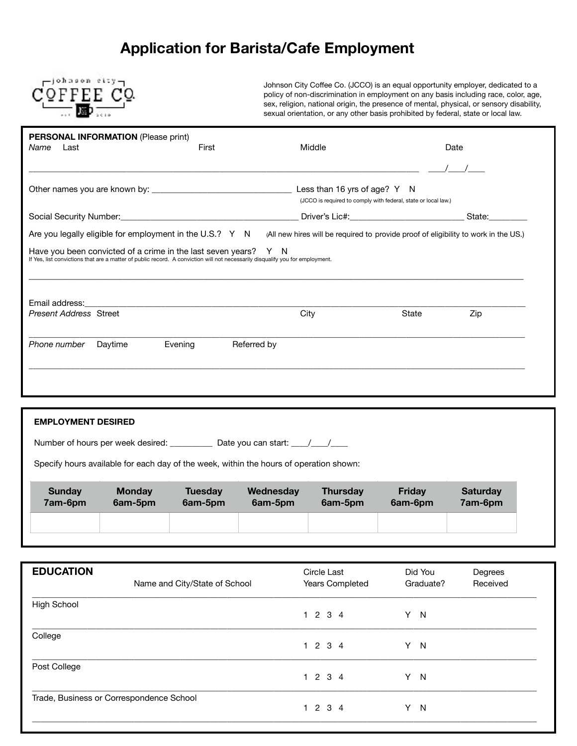## **Application for Barista/Cafe Employment**



Johnson City Coffee Co. (JCCO) is an equal opportunity employer, dedicated to a policy of non-discrimination in employment on any basis including race, color, age, sex, religion, national origin, the presence of mental, physical, or sensory disability, sexual orientation, or any other basis prohibited by federal, state or local law.

| <b>PERSONAL INFORMATION (Please print)</b><br>Last<br>Name                                                                                                                                       | First                  | Middle                                                                              |                                                                | Date |  |
|--------------------------------------------------------------------------------------------------------------------------------------------------------------------------------------------------|------------------------|-------------------------------------------------------------------------------------|----------------------------------------------------------------|------|--|
|                                                                                                                                                                                                  |                        |                                                                                     |                                                                |      |  |
|                                                                                                                                                                                                  |                        |                                                                                     | (JCCO is required to comply with federal, state or local law.) |      |  |
|                                                                                                                                                                                                  |                        |                                                                                     |                                                                |      |  |
| Are you legally eligible for employment in the U.S.? Y N                                                                                                                                         |                        | (All new hires will be required to provide proof of eligibility to work in the US.) |                                                                |      |  |
|                                                                                                                                                                                                  |                        |                                                                                     |                                                                |      |  |
| Have you been convicted of a crime in the last seven years? Y N<br>If Yes, list convictions that are a matter of public record. A conviction will not necessarily disqualify you for employment. |                        |                                                                                     |                                                                |      |  |
|                                                                                                                                                                                                  |                        |                                                                                     |                                                                |      |  |
| Email address: The control of the control of the control of the control of the control of the control of the c<br><b>Present Address Street</b>                                                  |                        | City                                                                                | State                                                          | Zip  |  |
| Phone number<br>Daytime                                                                                                                                                                          | Referred by<br>Evening |                                                                                     |                                                                |      |  |
|                                                                                                                                                                                                  |                        |                                                                                     |                                                                |      |  |
|                                                                                                                                                                                                  |                        |                                                                                     |                                                                |      |  |

| <b>EMPLOYMENT DESIRED</b>                                                              |                                          |                           |                                                      |                            |                          |                            |
|----------------------------------------------------------------------------------------|------------------------------------------|---------------------------|------------------------------------------------------|----------------------------|--------------------------|----------------------------|
|                                                                                        | Number of hours per week desired: ______ |                           | Date you can start: $\frac{1}{\sqrt{1-\frac{1}{2}}}$ |                            |                          |                            |
| Specify hours available for each day of the week, within the hours of operation shown: |                                          |                           |                                                      |                            |                          |                            |
| <b>Sunday</b><br>7am-6pm                                                               | <b>Monday</b><br>6am-5pm                 | <b>Tuesday</b><br>6am-5pm | Wednesday<br>6am-5pm                                 | <b>Thursday</b><br>6am-5pm | <b>Friday</b><br>6am-6pm | <b>Saturday</b><br>7am-6pm |
|                                                                                        |                                          |                           |                                                      |                            |                          |                            |

| <b>EDUCATION</b>                         | Name and City/State of School | Circle Last<br>Years Completed | Did You<br>Graduate? | Degrees<br>Received |
|------------------------------------------|-------------------------------|--------------------------------|----------------------|---------------------|
| <b>High School</b>                       |                               | 1234                           | Y.<br>$\overline{N}$ |                     |
| College                                  |                               | 1234                           | Y N                  |                     |
| Post College                             |                               | 1234                           | Y N                  |                     |
| Trade, Business or Correspondence School |                               | 1234                           | Y.<br>$\mathsf{N}$   |                     |